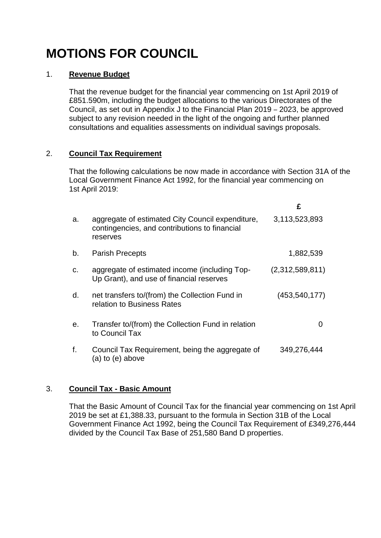# **MOTIONS FOR COUNCIL**

#### 1. **Revenue Budget**

That the revenue budget for the financial year commencing on 1st April 2019 of £851.590m, including the budget allocations to the various Directorates of the Council, as set out in Appendix J to the Financial Plan 2019 – 2023, be approved subject to any revision needed in the light of the ongoing and further planned consultations and equalities assessments on individual savings proposals.

# 2. **Council Tax Requirement**

That the following calculations be now made in accordance with Section 31A of the Local Government Finance Act 1992, for the financial year commencing on 1st April 2019:

|    |                                                                                                               | £               |
|----|---------------------------------------------------------------------------------------------------------------|-----------------|
| a. | aggregate of estimated City Council expenditure,<br>contingencies, and contributions to financial<br>reserves | 3,113,523,893   |
| b. | <b>Parish Precepts</b>                                                                                        | 1,882,539       |
| c. | aggregate of estimated income (including Top-<br>Up Grant), and use of financial reserves                     | (2,312,589,811) |
| d. | net transfers to/(from) the Collection Fund in<br>relation to Business Rates                                  | (453, 540, 177) |
| е. | Transfer to/(from) the Collection Fund in relation<br>to Council Tax                                          |                 |
| f. | Council Tax Requirement, being the aggregate of<br>(a) to (e) above                                           | 349,276,444     |

# 3. **Council Tax - Basic Amount**

That the Basic Amount of Council Tax for the financial year commencing on 1st April 2019 be set at £1,388.33, pursuant to the formula in Section 31B of the Local Government Finance Act 1992, being the Council Tax Requirement of £349,276,444 divided by the Council Tax Base of 251,580 Band D properties.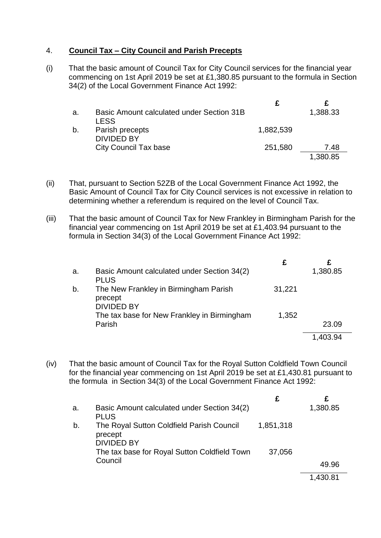### 4. **Council Tax – City Council and Parish Precepts**

(i) That the basic amount of Council Tax for City Council services for the financial year commencing on 1st April 2019 be set at £1,380.85 pursuant to the formula in Section 34(2) of the Local Government Finance Act 1992:

| а. | Basic Amount calculated under Section 31B<br><b>LESS</b> |           | 1,388.33 |
|----|----------------------------------------------------------|-----------|----------|
| b. | Parish precepts<br><b>DIVIDED BY</b>                     | 1,882,539 |          |
|    | <b>City Council Tax base</b>                             | 251,580   | 7.48     |
|    |                                                          |           | 1,380.85 |

- (ii) That, pursuant to Section 52ZB of the Local Government Finance Act 1992, the Basic Amount of Council Tax for City Council services is not excessive in relation to determining whether a referendum is required on the level of Council Tax.
- (iii) That the basic amount of Council Tax for New Frankley in Birmingham Parish for the financial year commencing on 1st April 2019 be set at £1,403.94 pursuant to the formula in Section 34(3) of the Local Government Finance Act 1992:

| a. | Basic Amount calculated under Section 34(2)<br><b>PLUS</b>            |        | 1,380.85 |
|----|-----------------------------------------------------------------------|--------|----------|
| b. | The New Frankley in Birmingham Parish<br>precept<br><b>DIVIDED BY</b> | 31,221 |          |
|    | The tax base for New Frankley in Birmingham<br>Parish                 | 1,352  | 23.09    |
|    |                                                                       |        | 1,403.94 |

(iv) That the basic amount of Council Tax for the Royal Sutton Coldfield Town Council for the financial year commencing on 1st April 2019 be set at £1,430.81 pursuant to the formula in Section 34(3) of the Local Government Finance Act 1992:

| a. | Basic Amount calculated under Section 34(2)<br><b>PLUS</b>                |           | 1,380.85 |
|----|---------------------------------------------------------------------------|-----------|----------|
| b. | The Royal Sutton Coldfield Parish Council<br>precept<br><b>DIVIDED BY</b> | 1,851,318 |          |
|    | The tax base for Royal Sutton Coldfield Town                              | 37,056    |          |
|    | Council                                                                   |           | 49.96    |
|    |                                                                           |           | 1,430.81 |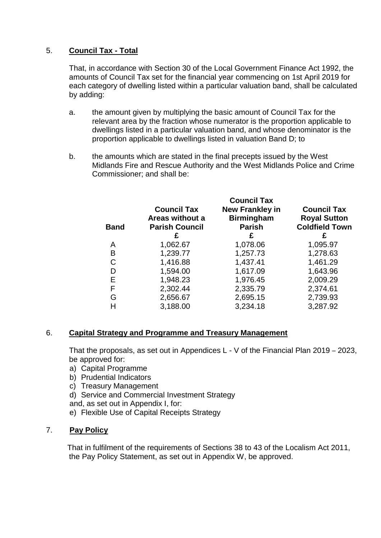## 5. **Council Tax - Total**

That, in accordance with Section 30 of the Local Government Finance Act 1992, the amounts of Council Tax set for the financial year commencing on 1st April 2019 for each category of dwelling listed within a particular valuation band, shall be calculated by adding:

- a. the amount given by multiplying the basic amount of Council Tax for the relevant area by the fraction whose numerator is the proportion applicable to dwellings listed in a particular valuation band, and whose denominator is the proportion applicable to dwellings listed in valuation Band D; to
- b. the amounts which are stated in the final precepts issued by the West Midlands Fire and Rescue Authority and the West Midlands Police and Crime Commissioner; and shall be:

| <b>Band</b> | <b>Council Tax</b><br>Areas without a<br><b>Parish Council</b><br>£ | <b>Council Tax</b><br><b>New Frankley in</b><br><b>Birmingham</b><br><b>Parish</b><br>£ | <b>Council Tax</b><br><b>Royal Sutton</b><br><b>Coldfield Town</b> |
|-------------|---------------------------------------------------------------------|-----------------------------------------------------------------------------------------|--------------------------------------------------------------------|
| A           | 1,062.67                                                            | 1,078.06                                                                                | 1,095.97                                                           |
| в           | 1,239.77                                                            | 1,257.73                                                                                | 1,278.63                                                           |
| С           | 1,416.88                                                            | 1,437.41                                                                                | 1,461.29                                                           |
| D           | 1,594.00                                                            | 1,617.09                                                                                | 1,643.96                                                           |
| Е           | 1,948.23                                                            | 1,976.45                                                                                | 2,009.29                                                           |
| F           | 2,302.44                                                            | 2,335.79                                                                                | 2,374.61                                                           |
| G           | 2,656.67                                                            | 2,695.15                                                                                | 2,739.93                                                           |
|             | 3,188.00                                                            | 3,234.18                                                                                | 3,287.92                                                           |
|             |                                                                     |                                                                                         |                                                                    |

# 6. **Capital Strategy and Programme and Treasury Management**

That the proposals, as set out in Appendices L - V of the Financial Plan 2019 – 2023, be approved for:

- a) Capital Programme
- b) Prudential Indicators
- c) Treasury Management
- d) Service and Commercial Investment Strategy
- and, as set out in Appendix I, for:
- e) Flexible Use of Capital Receipts Strategy

#### 7. **Pay Policy**

 That in fulfilment of the requirements of Sections 38 to 43 of the Localism Act 2011, the Pay Policy Statement, as set out in Appendix W, be approved.